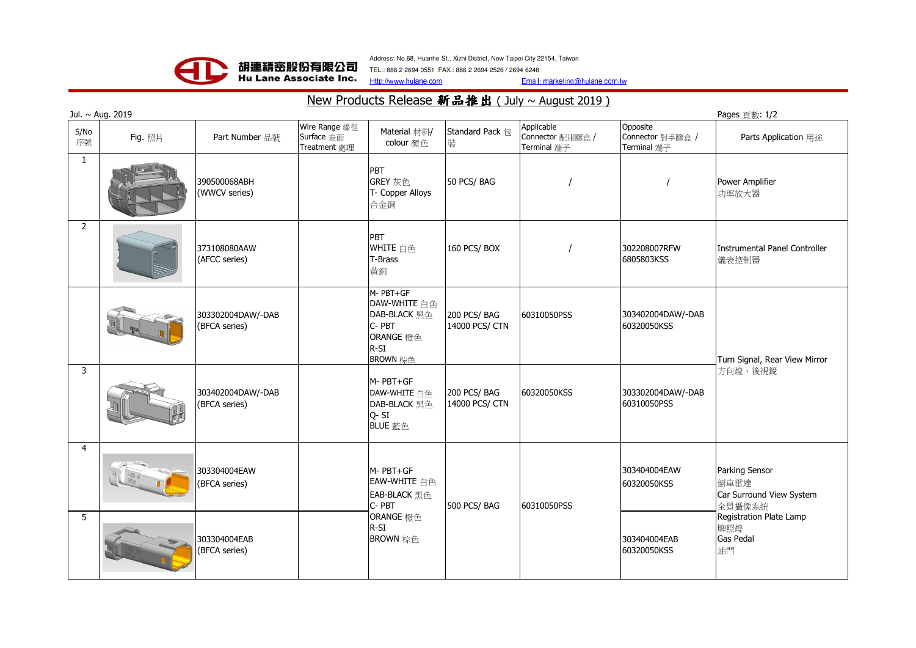

Address: No.68, Huanhe St., Xizhi District, New Taipei City 22154, Taiwan

Http://www.hulane.comTEL.: 886 2 2694 0551 FAX.: 886 2 2694 2526 / 2694 6248

Email: marketing@hulane.com.tw

## New Products Release 新品推出 ( July ~ August 2019 )

| Jul. ~ Aug. 2019<br>Pages 頁數: 1/2 |         |                                    |                                             |                                                                                             |                               |                                               |                                             |                                                                                                                   |
|-----------------------------------|---------|------------------------------------|---------------------------------------------|---------------------------------------------------------------------------------------------|-------------------------------|-----------------------------------------------|---------------------------------------------|-------------------------------------------------------------------------------------------------------------------|
| S/No<br>序號                        | Fig. 照片 | Part Number 品號                     | Wire Range 線徑<br>Surface 表面<br>Treatment 處理 | Material 材料/<br>colour 顏色                                                                   | Standard Pack 包<br>裝          | Applicable<br>Connector 配用膠盒 /<br>Terminal 端子 | Opposite<br>Connector 對手膠盒 /<br>Terminal 端子 | Parts Application 用途                                                                                              |
| $\mathbf{1}$                      |         | 390500068ABH<br>(WWCV series)      |                                             | PBT<br>GREY 灰色<br>T- Copper Alloys<br>合金銅                                                   | 50 PCS/BAG                    |                                               |                                             | Power Amplifier<br>功率放大器                                                                                          |
| $\overline{2}$                    |         | 373108080AAW<br>(AFCC series)      |                                             | PBT<br>WHITE 白色<br>T-Brass<br>黃銅                                                            | 160 PCS/BOX                   |                                               | 302208007RFW<br>6805803KSS                  | Instrumental Panel Controller<br>儀表控制器                                                                            |
|                                   |         | 303302004DAW/-DAB<br>(BFCA series) |                                             | M-PBT+GF<br>DAW-WHITE 白色<br><b>DAB-BLACK 黑色</b><br>C-PBT<br>ORANGE 橙色<br>$R-SI$<br>BROWN 棕色 | 200 PCS/BAG<br>14000 PCS/ CTN | 60310050PSS                                   | 303402004DAW/-DAB<br>60320050KSS            | Turn Signal, Rear View Mirror<br>方向燈、後視鏡                                                                          |
| 3                                 |         | 303402004DAW/-DAB<br>(BFCA series) |                                             | M- PBT+GF<br>DAW-WHITE 白色<br>DAB-BLACK 黑色<br>Q-SI<br>BLUE 藍色                                | 200 PCS/BAG<br>14000 PCS/ CTN | 60320050KSS                                   | 303302004DAW/-DAB<br>60310050PSS            |                                                                                                                   |
| $\overline{4}$                    |         | 303304004EAW<br>(BFCA series)      |                                             | M-PBT+GF<br>EAW-WHITE 白色<br>EAB-BLACK 黑色<br>C-PBT<br>ORANGE 橙色<br>$R-SI$<br>BROWN 棕色        | 500 PCS/BAG                   | 60310050PSS                                   | 303404004EAW<br>60320050KSS                 | Parking Sensor<br>倒車雷達<br>Car Surround View System<br>全景攝像系統<br>Registration Plate Lamp<br>牌照燈<br>Gas Pedal<br>油門 |
| 5                                 |         | 303304004EAB<br>(BFCA series)      |                                             |                                                                                             |                               |                                               | 303404004EAB<br>60320050KSS                 |                                                                                                                   |